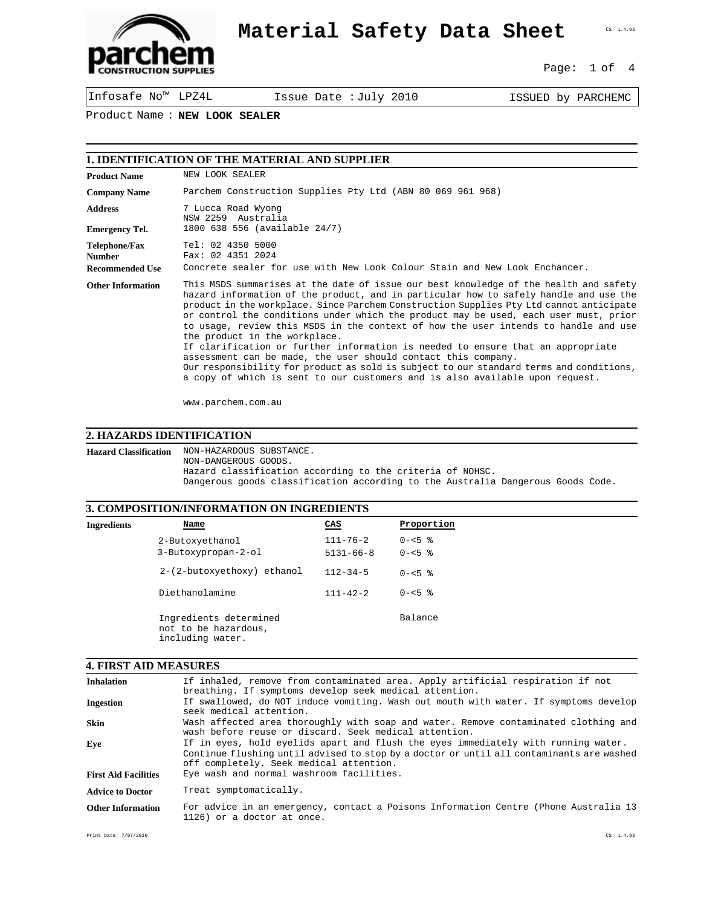

## **Material Safety Data Sheet**

CS: 1.4.93

Page: 1 of 4

Infosafe No™ LPZ4L Issue Date :July 2010 ISSUED by PARCHEMC

Product Name : **NEW LOOK SEALER**

| <b>Product Name</b>                                      | NEW LOOK SEALER                                                                                                                                                                                                                                                                                                                                                                                                                                                                                                                                                                                                                                                                                                                                                                                                          |
|----------------------------------------------------------|--------------------------------------------------------------------------------------------------------------------------------------------------------------------------------------------------------------------------------------------------------------------------------------------------------------------------------------------------------------------------------------------------------------------------------------------------------------------------------------------------------------------------------------------------------------------------------------------------------------------------------------------------------------------------------------------------------------------------------------------------------------------------------------------------------------------------|
| <b>Company Name</b>                                      | Parchem Construction Supplies Pty Ltd (ABN 80 069 961 968)                                                                                                                                                                                                                                                                                                                                                                                                                                                                                                                                                                                                                                                                                                                                                               |
| <b>Address</b><br><b>Emergency Tel.</b>                  | 7 Lucca Road Wyong<br>NSW 2259 Australia<br>1800 638 556 (available 24/7)                                                                                                                                                                                                                                                                                                                                                                                                                                                                                                                                                                                                                                                                                                                                                |
| Telephone/Fax<br><b>Number</b><br><b>Recommended Use</b> | Tel: 02 4350 5000<br>Fax: 02 4351 2024<br>Concrete sealer for use with New Look Colour Stain and New Look Enchancer.                                                                                                                                                                                                                                                                                                                                                                                                                                                                                                                                                                                                                                                                                                     |
| <b>Other Information</b>                                 | This MSDS summarises at the date of issue our best knowledge of the health and safety<br>hazard information of the product, and in particular how to safely handle and use the<br>product in the workplace. Since Parchem Construction Supplies Pty Ltd cannot anticipate<br>or control the conditions under which the product may be used, each user must, prior<br>to usage, review this MSDS in the context of how the user intends to handle and use<br>the product in the workplace.<br>If clarification or further information is needed to ensure that an appropriate<br>assessment can be made, the user should contact this company.<br>Our responsibility for product as sold is subject to our standard terms and conditions,<br>a copy of which is sent to our customers and is also available upon request. |

www.parchem.com.au

## **2. HAZARDS IDENTIFICATION**

**Hazard Classification** NON-HAZARDOUS SUBSTANCE. NON-DANGEROUS GOODS. Hazard classification according to the criteria of NOHSC. Dangerous goods classification according to the Australia Dangerous Goods Code.

# **3. COMPOSITION/INFORMATION ON INGREDIENTS**

|             | 9. COMI OSHTON/INFORMATION ON INGREDIENTS                          |                 |            |
|-------------|--------------------------------------------------------------------|-----------------|------------|
| Ingredients | Name                                                               | CAS             | Proportion |
|             | 2-Butoxyethanol                                                    | $111 - 76 - 2$  | $0 - 5$ %  |
|             | 3-Butoxypropan-2-ol                                                | $5131 - 66 - 8$ | $0 - 5$ %  |
|             | 2-(2-butoxyethoxy) ethanol                                         | $112 - 34 - 5$  | $0 - 5$ %  |
|             | Diethanolamine                                                     | $111 - 42 - 2$  | $0 - 5$ %  |
|             | Ingredients determined<br>not to be hazardous,<br>including water. |                 | Balance    |

#### **4. FIRST AID MEASURES**

| <b>Inhalation</b>           | If inhaled, remove from contaminated area. Apply artificial respiration if not<br>breathing. If symptoms develop seek medical attention.                                                                                 |
|-----------------------------|--------------------------------------------------------------------------------------------------------------------------------------------------------------------------------------------------------------------------|
| Ingestion                   | If swallowed, do NOT induce vomiting. Wash out mouth with water. If symptoms develop<br>seek medical attention.                                                                                                          |
| <b>Skin</b>                 | Wash affected area thoroughly with soap and water. Remove contaminated clothing and<br>wash before reuse or discard. Seek medical attention.                                                                             |
| Eye                         | If in eyes, hold eyelids apart and flush the eyes immediately with running water.<br>Continue flushing until advised to stop by a doctor or until all contaminants are washed<br>off completely. Seek medical attention. |
| <b>First Aid Facilities</b> | Eye wash and normal washroom facilities.                                                                                                                                                                                 |
| <b>Advice to Doctor</b>     | Treat symptomatically.                                                                                                                                                                                                   |
| <b>Other Information</b>    | For advice in an emergency, contact a Poisons Information Centre (Phone Australia 13<br>1126) or a doctor at once.                                                                                                       |

Print Date: 7/07/2010 CS: 1.4.93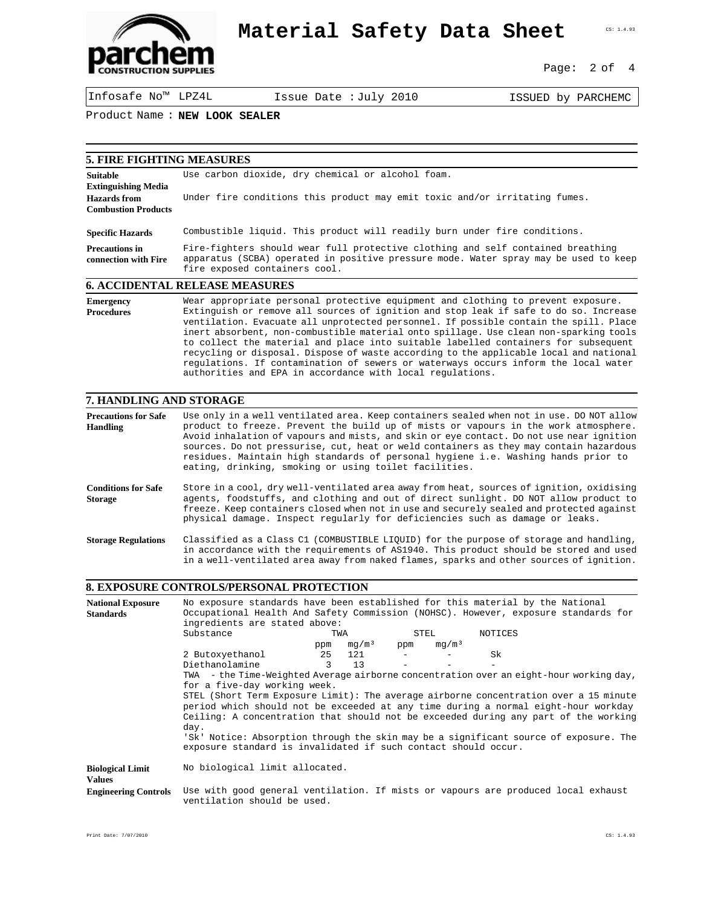

## **Material Safety Data Sheet**

Page: 2 of 4

CS: 1.4.93

Infosafe No™ LPZ4L Issue Date :July 2010 ISSUED by PARCHEMC

Product Name : **NEW LOOK SEALER**

| <b>5. FIRE FIGHTING MEASURES</b>                  |                                                                                                                                                                                                          |
|---------------------------------------------------|----------------------------------------------------------------------------------------------------------------------------------------------------------------------------------------------------------|
| <b>Suitable</b><br><b>Extinguishing Media</b>     | Use carbon dioxide, dry chemical or alcohol foam.                                                                                                                                                        |
| <b>Hazards</b> from<br><b>Combustion Products</b> | Under fire conditions this product may emit toxic and/or irritating fumes.                                                                                                                               |
| <b>Specific Hazards</b>                           | Combustible liquid. This product will readily burn under fire conditions.                                                                                                                                |
| <b>Precautions in</b><br>connection with Fire     | Fire-fighters should wear full protective clothing and self contained breathing<br>apparatus (SCBA) operated in positive pressure mode. Water spray may be used to keep<br>fire exposed containers cool. |
|                                                   | 6. ACCIDENTAL RELEASE MEASURES                                                                                                                                                                           |
| <b>Emergency</b><br><b>Procedures</b>             | Wear appropriate personal protective equipment and clothing to prevent exposure.<br>Extinguish or remove all sources of ignition and stop leak if safe to do so. Increase                                |

### Extinguish or remove all sources of ignition and stop leak if safe to do so. Increase ventilation. Evacuate all unprotected personnel. If possible contain the spill. Place inert absorbent, non-combustible material onto spillage. Use clean non-sparking tools to collect the material and place into suitable labelled containers for subsequent recycling or disposal. Dispose of waste according to the applicable local and national regulations. If contamination of sewers or waterways occurs inform the local water

authorities and EPA in accordance with local regulations.

### **7. HANDLING AND STORAGE**

| <b>Precautions for Safe</b><br>Handling      | Use only in a well ventilated area. Keep containers sealed when not in use. DO NOT allow<br>product to freeze. Prevent the build up of mists or vapours in the work atmosphere.<br>Avoid inhalation of vapours and mists, and skin or eye contact. Do not use near ignition<br>sources. Do not pressurise, cut, heat or weld containers as they may contain hazardous<br>residues. Maintain high standards of personal hygiene i.e. Washing hands prior to<br>eating, drinking, smoking or using toilet facilities. |
|----------------------------------------------|---------------------------------------------------------------------------------------------------------------------------------------------------------------------------------------------------------------------------------------------------------------------------------------------------------------------------------------------------------------------------------------------------------------------------------------------------------------------------------------------------------------------|
| <b>Conditions for Safe</b><br><b>Storage</b> | Store in a cool, dry well-ventilated area away from heat, sources of ignition, oxidising<br>agents, foodstuffs, and clothing and out of direct sunlight. DO NOT allow product to<br>freeze. Keep containers closed when not in use and securely sealed and protected against<br>physical damage. Inspect regularly for deficiencies such as damage or leaks.                                                                                                                                                        |
| <b>Storage Regulations</b>                   | Classified as a Class C1 (COMBUSTIBLE LIQUID) for the purpose of storage and handling,<br>in accordance with the requirements of AS1940. This product should be stored and used<br>in a well-ventilated area away from naked flames, sparks and other sources of ignition.                                                                                                                                                                                                                                          |

### **8. EXPOSURE CONTROLS/PERSONAL PROTECTION**

| <b>National Exposure</b>    | No exposure standards have been established for this material by the National          |               |                   |      |                   |         |  |  |
|-----------------------------|----------------------------------------------------------------------------------------|---------------|-------------------|------|-------------------|---------|--|--|
| <b>Standards</b>            | Occupational Health And Safety Commission (NOHSC). However, exposure standards for     |               |                   |      |                   |         |  |  |
|                             | ingredients are stated above:                                                          |               |                   |      |                   |         |  |  |
|                             | Substance                                                                              | TWA           |                   | STEL |                   | NOTICES |  |  |
|                             |                                                                                        | ppm           | mq/m <sup>3</sup> | ppm  | mq/m <sup>3</sup> |         |  |  |
|                             | 2 Butoxyethanol                                                                        |               | 25 121            |      |                   | .Sk     |  |  |
|                             | Diethanolamine                                                                         | $\mathcal{L}$ | 13                |      |                   |         |  |  |
|                             | TWA - the Time-Weighted Average airborne concentration over an eight-hour working day, |               |                   |      |                   |         |  |  |
|                             | for a five-day working week.                                                           |               |                   |      |                   |         |  |  |
|                             | STEL (Short Term Exposure Limit): The average airborne concentration over a 15 minute  |               |                   |      |                   |         |  |  |
|                             | period which should not be exceeded at any time during a normal eight-hour workday     |               |                   |      |                   |         |  |  |
|                             | Ceiling: A concentration that should not be exceeded during any part of the working    |               |                   |      |                   |         |  |  |
|                             | day.                                                                                   |               |                   |      |                   |         |  |  |
|                             | 'Sk' Notice: Absorption through the skin may be a significant source of exposure. The  |               |                   |      |                   |         |  |  |
|                             | exposure standard is invalidated if such contact should occur.                         |               |                   |      |                   |         |  |  |
|                             |                                                                                        |               |                   |      |                   |         |  |  |
| <b>Biological Limit</b>     | No biological limit allocated.                                                         |               |                   |      |                   |         |  |  |
| <b>Values</b>               |                                                                                        |               |                   |      |                   |         |  |  |
| <b>Engineering Controls</b> | Use with good general ventilation. If mists or vapours are produced local exhaust      |               |                   |      |                   |         |  |  |
|                             | ventilation should be used.                                                            |               |                   |      |                   |         |  |  |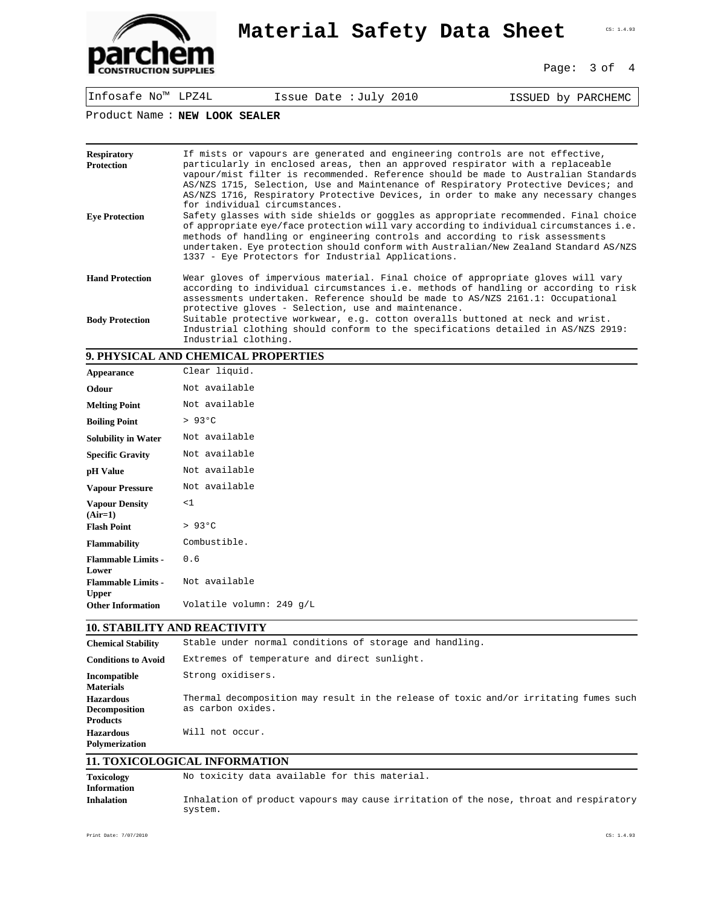

## **Material Safety Data Sheet CERILGS**

Page: 3 of 4

Infosafe No™ LPZ4L Issue Date :July 2010 ISSUED by PARCHEMC

Product Name : **NEW LOOK SEALER**

| <b>Respiratory</b><br><b>Protection</b> | If mists or vapours are generated and engineering controls are not effective,<br>particularly in enclosed areas, then an approved respirator with a replaceable<br>vapour/mist filter is recommended. Reference should be made to Australian Standards<br>AS/NZS 1715, Selection, Use and Maintenance of Respiratory Protective Devices; and<br>AS/NZS 1716, Respiratory Protective Devices, in order to make any necessary changes<br>for individual circumstances. |
|-----------------------------------------|----------------------------------------------------------------------------------------------------------------------------------------------------------------------------------------------------------------------------------------------------------------------------------------------------------------------------------------------------------------------------------------------------------------------------------------------------------------------|
| <b>Eve Protection</b>                   | Safety glasses with side shields or goggles as appropriate recommended. Final choice<br>of appropriate eye/face protection will vary according to individual circumstances i.e.<br>methods of handling or engineering controls and according to risk assessments<br>undertaken. Eye protection should conform with Australian/New Zealand Standard AS/NZS<br>1337 - Eye Protectors for Industrial Applications.                                                      |
| <b>Hand Protection</b>                  | Wear gloves of impervious material. Final choice of appropriate gloves will vary<br>according to individual circumstances i.e. methods of handling or according to risk<br>assessments undertaken. Reference should be made to AS/NZS 2161.1: Occupational<br>protective gloves - Selection, use and maintenance.                                                                                                                                                    |
| <b>Body Protection</b>                  | Suitable protective workwear, e.g. cotton overalls buttoned at neck and wrist.<br>Industrial clothing should conform to the specifications detailed in AS/NZS 2919:<br>Industrial clothing.                                                                                                                                                                                                                                                                          |

## **9. PHYSICAL AND CHEMICAL PROPERTIES**

| Appearance                                | Clear liquid.            |
|-------------------------------------------|--------------------------|
| Odour                                     | Not available            |
| <b>Melting Point</b>                      | Not available            |
| <b>Boiling Point</b>                      | $> 93^{\circ}$ C         |
| <b>Solubility in Water</b>                | Not available            |
| <b>Specific Gravity</b>                   | Not available            |
| pH Value                                  | Not available            |
| <b>Vapour Pressure</b>                    | Not available            |
| <b>Vapour Density</b><br>$(Air=1)$        | <1                       |
| <b>Flash Point</b>                        | $> 93^{\circ}$ C         |
| <b>Flammability</b>                       | Combustible.             |
| <b>Flammable Limits -</b><br>Lower        | 0.6                      |
| <b>Flammable Limits -</b><br><b>Upper</b> | Not available            |
| <b>Other Information</b>                  | Volatile volumn: 249 g/L |

## **10. STABILITY AND REACTIVITY**

| <b>Chemical Stability</b>                                   | Stable under normal conditions of storage and handling.                                                    |
|-------------------------------------------------------------|------------------------------------------------------------------------------------------------------------|
| <b>Conditions to Avoid</b>                                  | Extremes of temperature and direct sunlight.                                                               |
| Incompatible<br><b>Materials</b>                            | Strong oxidisers.                                                                                          |
| <b>Hazardous</b><br><b>Decomposition</b><br><b>Products</b> | Thermal decomposition may result in the release of toxic and/or irritating fumes such<br>as carbon oxides. |
| <b>Hazardous</b><br><b>Polymerization</b>                   | Will not occur.                                                                                            |

## **11. TOXICOLOGICAL INFORMATION**

| <b>Toxicology</b>  | No toxicity data available for this material.                                                     |
|--------------------|---------------------------------------------------------------------------------------------------|
| <b>Information</b> |                                                                                                   |
| <b>Inhalation</b>  | Inhalation of product vapours may cause irritation of the nose, throat and respiratory<br>system. |